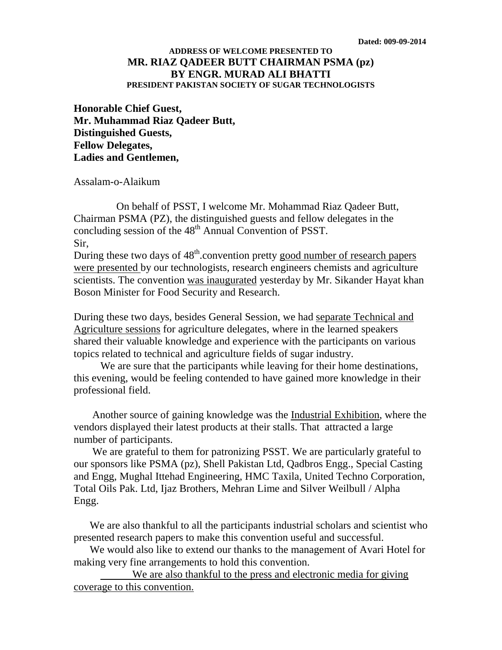## **ADDRESS OF WELCOME PRESENTED TO MR. RIAZ QADEER BUTT CHAIRMAN PSMA (pz) BY ENGR. MURAD ALI BHATTI PRESIDENT PAKISTAN SOCIETY OF SUGAR TECHNOLOGISTS**

**Honorable Chief Guest, Mr. Muhammad Riaz Qadeer Butt, Distinguished Guests, Fellow Delegates, Ladies and Gentlemen,**

Assalam-o-Alaikum

 On behalf of PSST, I welcome Mr. Mohammad Riaz Qadeer Butt, Chairman PSMA (PZ), the distinguished guests and fellow delegates in the concluding session of the  $48<sup>th</sup>$  Annual Convention of PSST. Sir,

During these two days of  $48<sup>th</sup>$  convention pretty good number of research papers were presented by our technologists, research engineers chemists and agriculture scientists. The convention was inaugurated yesterday by Mr. Sikander Hayat khan Boson Minister for Food Security and Research.

During these two days, besides General Session, we had separate Technical and Agriculture sessions for agriculture delegates, where in the learned speakers shared their valuable knowledge and experience with the participants on various topics related to technical and agriculture fields of sugar industry.

 We are sure that the participants while leaving for their home destinations, this evening, would be feeling contended to have gained more knowledge in their professional field.

Another source of gaining knowledge was the **Industrial Exhibition**, where the vendors displayed their latest products at their stalls. That attracted a large number of participants.

 We are grateful to them for patronizing PSST. We are particularly grateful to our sponsors like PSMA (pz), Shell Pakistan Ltd, Qadbros Engg., Special Casting and Engg, Mughal Ittehad Engineering, HMC Taxila, United Techno Corporation, Total Oils Pak. Ltd, Ijaz Brothers, Mehran Lime and Silver Weilbull / Alpha Engg.

 We are also thankful to all the participants industrial scholars and scientist who presented research papers to make this convention useful and successful.

 We would also like to extend our thanks to the management of Avari Hotel for making very fine arrangements to hold this convention.

 We are also thankful to the press and electronic media for giving coverage to this convention.